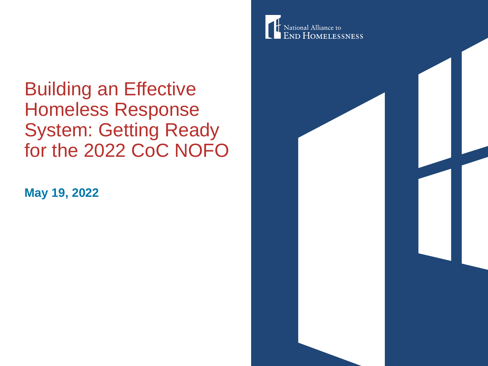Building an Effective Homeless Response System: Getting Ready for the 2022 CoC NOFO

**May 19, 2022**

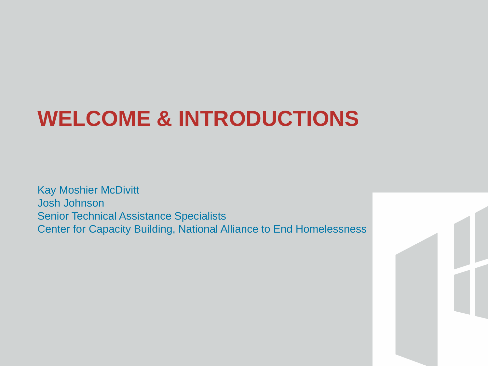## **WELCOME & INTRODUCTIONS**

Kay Moshier McDivitt Josh Johnson Senior Technical Assistance Specialists Center for Capacity Building, National Alliance to End Homelessness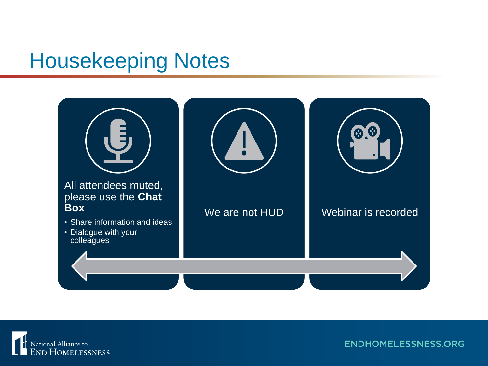#### Housekeeping Notes



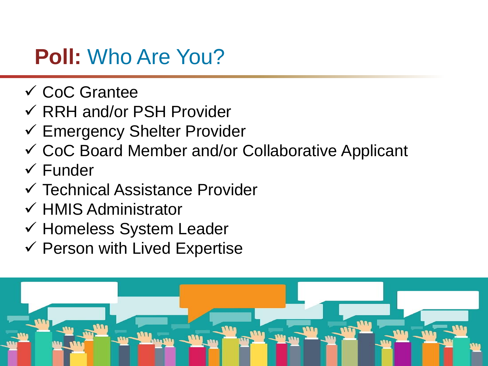### **Poll:** Who Are You?

- ✓ CoC Grantee
- ✓ RRH and/or PSH Provider
- ✓ Emergency Shelter Provider
- ✓ CoC Board Member and/or Collaborative Applicant
- ✓ Funder
- ✓ Technical Assistance Provider
- ✓ HMIS Administrator
- ✓ Homeless System Leader
- $\checkmark$  Person with Lived Expertise

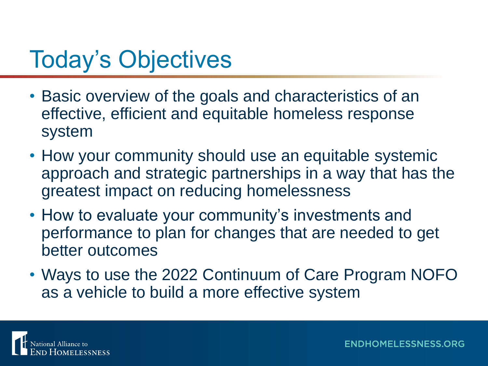## Today's Objectives

- Basic overview of the goals and characteristics of an effective, efficient and equitable homeless response system
- How your community should use an equitable systemic approach and strategic partnerships in a way that has the greatest impact on reducing homelessness
- How to evaluate your community's investments and performance to plan for changes that are needed to get better outcomes
- Ways to use the 2022 Continuum of Care Program NOFO as a vehicle to build a more effective system

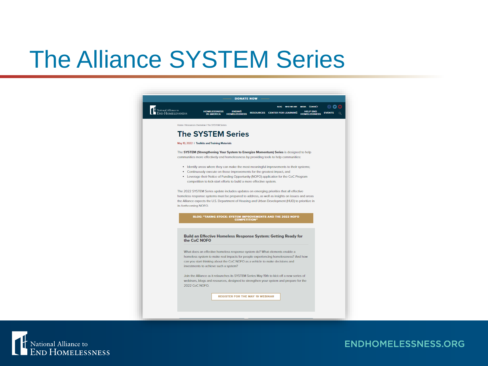## The Alliance SYSTEM Series



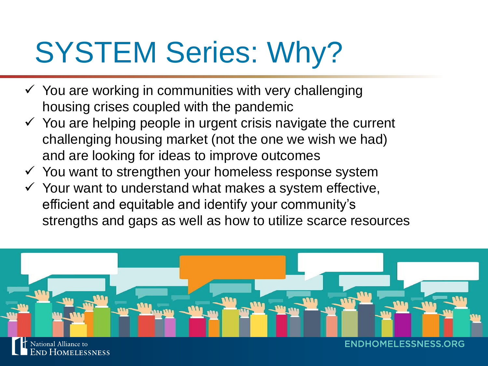# SYSTEM Series: Why?

- $\checkmark$  You are working in communities with very challenging housing crises coupled with the pandemic
- $\checkmark$  You are helping people in urgent crisis navigate the current challenging housing market (not the one we wish we had) and are looking for ideas to improve outcomes
- $\checkmark$  You want to strengthen your homeless response system
- $\checkmark$  Your want to understand what makes a system effective, efficient and equitable and identify your community's strengths and gaps as well as how to utilize scarce resources

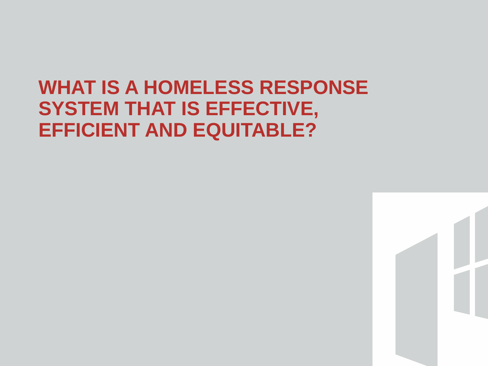#### **WHAT IS A HOMELESS RESPONSE SYSTEM THAT IS EFFECTIVE, EFFICIENT AND EQUITABLE?**

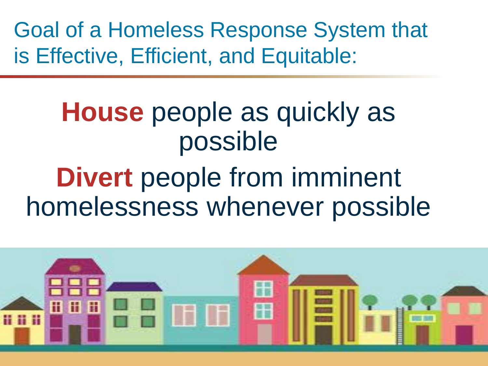Goal of a Homeless Response System that is Effective, Efficient, and Equitable:

## **House** people as quickly as possible

# **Divert** people from imminent homelessness whenever possible

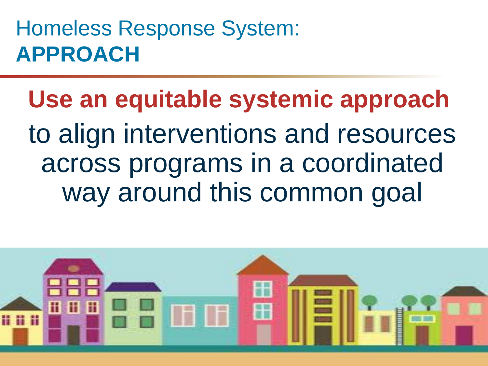## Homeless Response System: **APPROACH**

**Use an equitable systemic approach** to align interventions and resources across programs in a coordinated way around this common goal

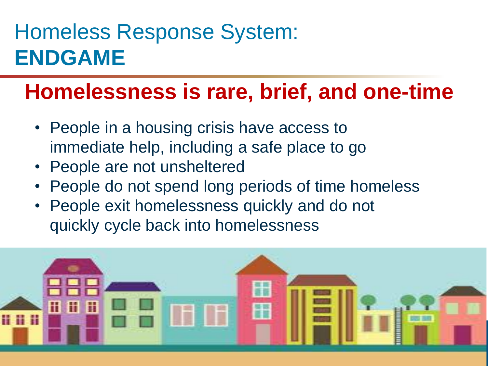## Homeless Response System: **ENDGAME**

### **Homelessness is rare, brief, and one-time**

- People in a housing crisis have access to immediate help, including a safe place to go
- People are not unsheltered
- People do not spend long periods of time homeless
- People exit homelessness quickly and do not quickly cycle back into homelessness

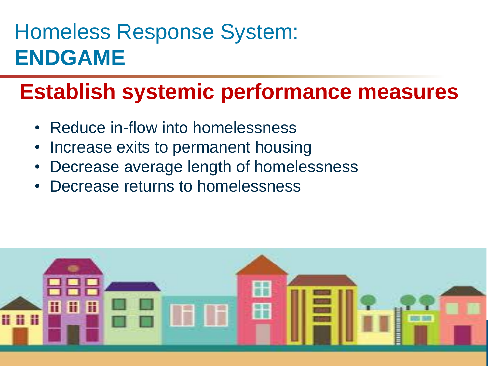## Homeless Response System: **ENDGAME**

## **Establish systemic performance measures**

- Reduce in-flow into homelessness
- Increase exits to permanent housing
- Decrease average length of homelessness
- Decrease returns to homelessness

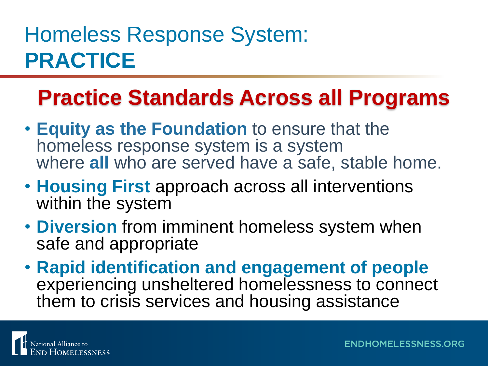## Homeless Response System: **PRACTICE**

## **Practice Standards Across all Programs**

- **Equity as the Foundation** to ensure that the homeless response system is a system where **all** who are served have a safe, stable home.
- **Housing First** approach across all interventions within the system
- **Diversion** from imminent homeless system when safe and appropriate
- **Rapid identification and engagement of people**  experiencing unsheltered homelessness to connect them to crisis services and housing assistance

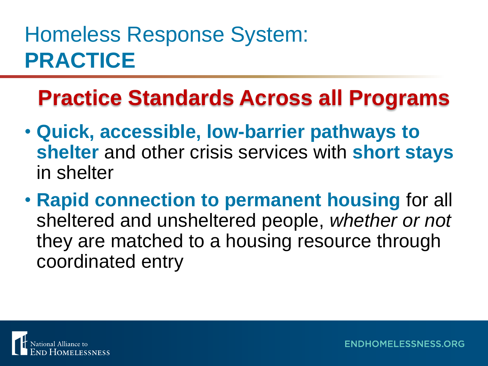## Homeless Response System: **PRACTICE**

## **Practice Standards Across all Programs**

- **Quick, accessible, low-barrier pathways to shelter** and other crisis services with **short stays**  in shelter
- **Rapid connection to permanent housing** for all sheltered and unsheltered people, *whether or not* they are matched to a housing resource through coordinated entry

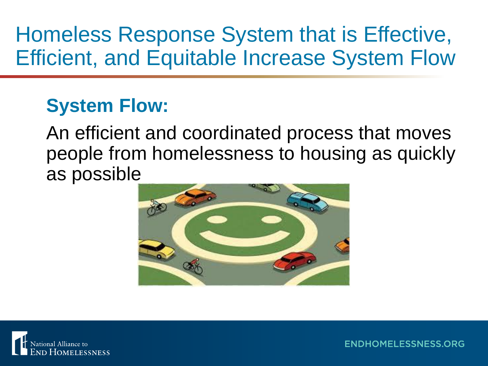## Homeless Response System that is Effective, Efficient, and Equitable Increase System Flow

#### **System Flow:**

An efficient and coordinated process that moves people from homelessness to housing as quickly as possible



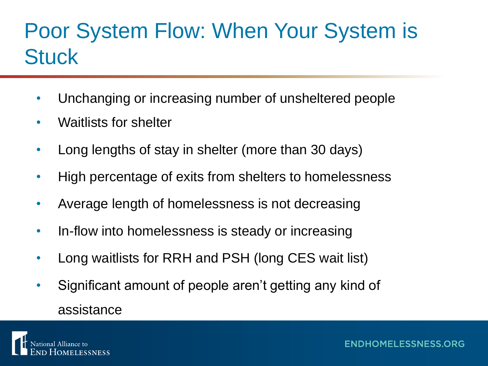## Poor System Flow: When Your System is **Stuck**

- Unchanging or increasing number of unsheltered people
- Waitlists for shelter
- Long lengths of stay in shelter (more than 30 days)
- High percentage of exits from shelters to homelessness
- Average length of homelessness is not decreasing
- In-flow into homelessness is steady or increasing
- Long waitlists for RRH and PSH (long CES wait list)
- Significant amount of people aren't getting any kind of assistance

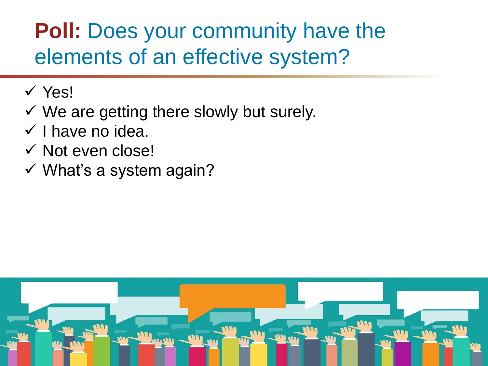## **Poll:** Does your community have the elements of an effective system?

- ✓ Yes!
- $\checkmark$  We are getting there slowly but surely.
- $\checkmark$  I have no idea.
- ✓ Not even close!
- $\checkmark$  What's a system again?

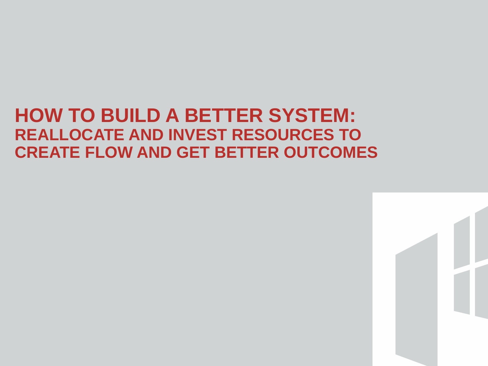#### **HOW TO BUILD A BETTER SYSTEM: REALLOCATE AND INVEST RESOURCES TO CREATE FLOW AND GET BETTER OUTCOMES**

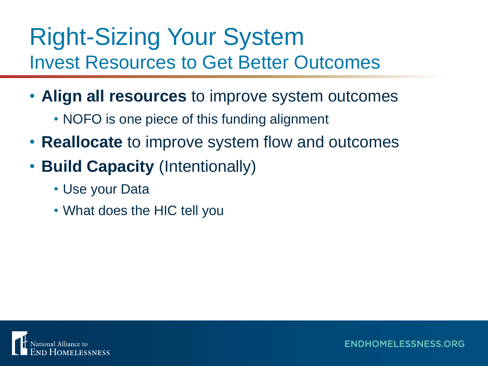## Right-Sizing Your System Invest Resources to Get Better Outcomes

- **Align all resources** to improve system outcomes
	- NOFO is one piece of this funding alignment
- **Reallocate** to improve system flow and outcomes
- **Build Capacity** (Intentionally)
	- Use your Data
	- What does the HIC tell you

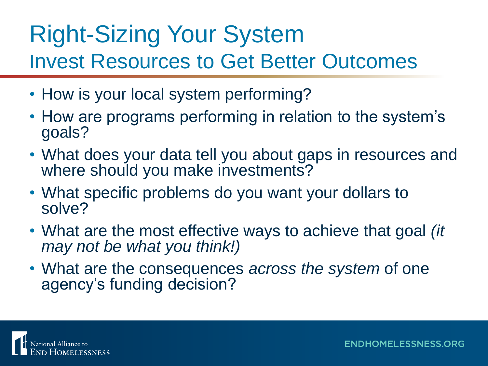## Right-Sizing Your System Invest Resources to Get Better Outcomes

- How is your local system performing?
- How are programs performing in relation to the system's goals?
- What does your data tell you about gaps in resources and where should you make investments?
- What specific problems do you want your dollars to solve?
- What are the most effective ways to achieve that goal *(it may not be what you think!)*
- What are the consequences *across the system* of one agency's funding decision?

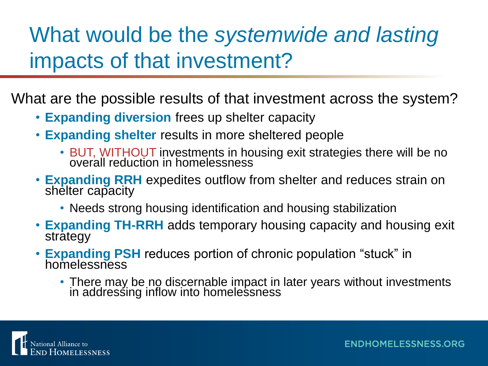## What would be the *systemwide and lasting*  impacts of that investment?

What are the possible results of that investment across the system?

- **Expanding diversion** frees up shelter capacity
- **Expanding shelter** results in more sheltered people
	- BUT, WITHOUT investments in housing exit strategies there will be no overall reduction in homelessness
- **Expanding RRH** expedites outflow from shelter and reduces strain on shelter capacity
	- Needs strong housing identification and housing stabilization
- **Expanding TH-RRH** adds temporary housing capacity and housing exit strategy
- **Expanding PSH** reduces portion of chronic population "stuck" in homelessness
	- There may be no discernable impact in later years without investments in addressing inflow into homelessness

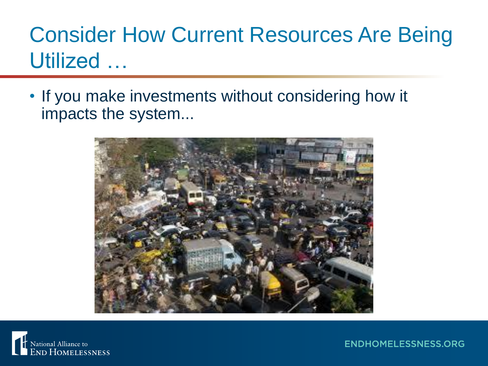## Consider How Current Resources Are Being Utilized …

• If you make investments without considering how it impacts the system...



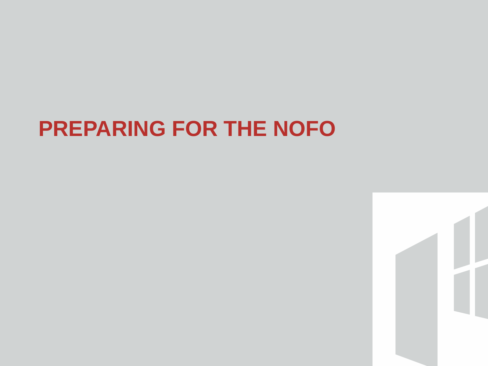## **PREPARING FOR THE NOFO**

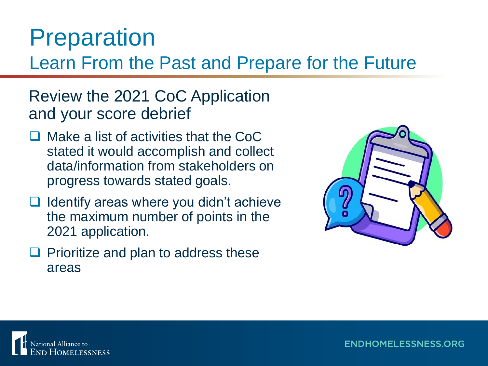## Preparation

Learn From the Past and Prepare for the Future

#### Review the 2021 CoC Application and your score debrief

- ❑ Make a list of activities that the CoC stated it would accomplish and collect data/information from stakeholders on progress towards stated goals.
- ❑ Identify areas where you didn't achieve the maximum number of points in the 2021 application.
- ❑ Prioritize and plan to address these areas



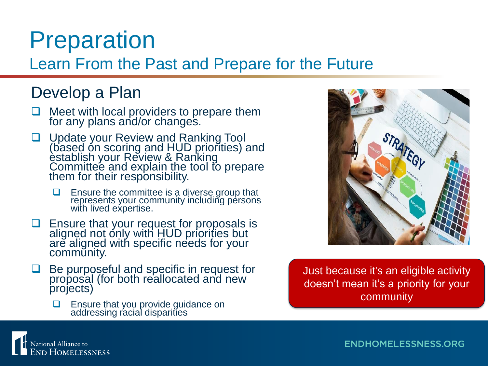## Preparation

#### Learn From the Past and Prepare for the Future

#### Develop a Plan

- ❑ Meet with local providers to prepare them for any plans and/or changes.
- □ Update your Review and Ranking Tool (based on scoring and HUD priorities) and establish your Review & Ranking Committee and explain the tool to prepare them for their responsibility.
	- ❑ Ensure the committee is a diverse group that represents your community including persons with lived expertise.
- ❑ Ensure that your request for proposals is aligned not only with HUD priorities but are aligned with specific needs for your community.
- ❑ Be purposeful and specific in request for proposal (for both reallocated and new projects)
	- ❑ Ensure that you provide guidance on addressing racial disparities

Just because it's an eligible activity doesn't mean it's a priority for your community

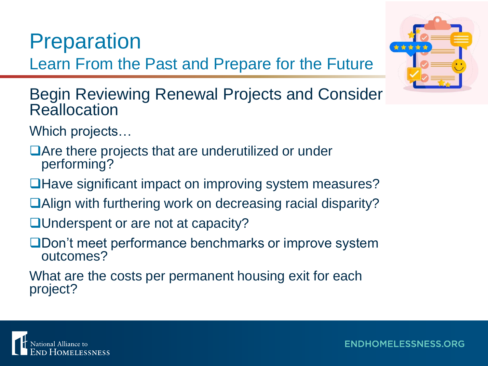### **Preparation**

Learn From the Past and Prepare for the Future



Begin Reviewing Renewal Projects and Consider **Reallocation** 

Which projects…

❑Are there projects that are underutilized or under performing?

❑Have significant impact on improving system measures?

- ❑Align with furthering work on decreasing racial disparity?
- ■Underspent or are not at capacity?
- ❑Don't meet performance benchmarks or improve system outcomes?

What are the costs per permanent housing exit for each project?

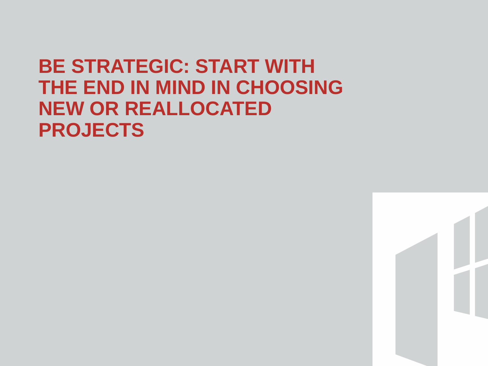#### **BE STRATEGIC: START WITH THE END IN MIND IN CHOOSING NEW OR REALLOCATED PROJECTS**

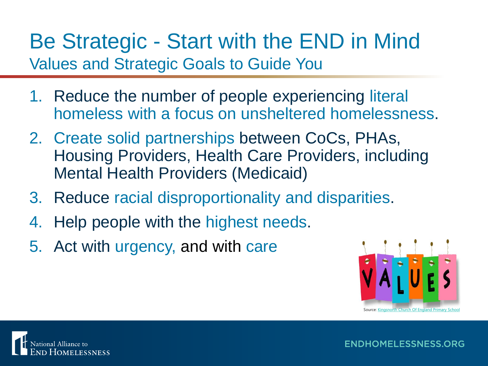Be Strategic - Start with the END in Mind Values and Strategic Goals to Guide You

- 1. Reduce the number of people experiencing literal homeless with a focus on unsheltered homelessness.
- 2. Create solid partnerships between CoCs, PHAs, Housing Providers, Health Care Providers, including Mental Health Providers (Medicaid)
- 3. Reduce racial disproportionality and disparities.
- 4. Help people with the highest needs.
- 5. Act with urgency, and with care



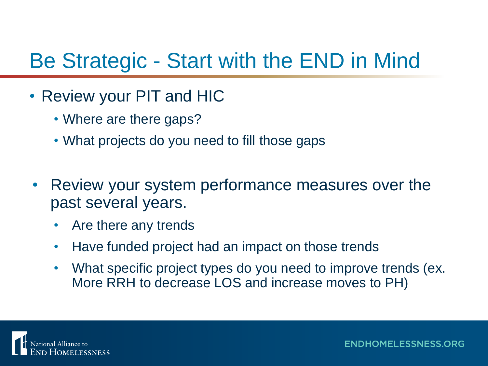## Be Strategic - Start with the END in Mind

- Review your PIT and HIC
	- Where are there gaps?
	- What projects do you need to fill those gaps
- Review your system performance measures over the past several years.
	- Are there any trends
	- Have funded project had an impact on those trends
	- What specific project types do you need to improve trends (ex. More RRH to decrease LOS and increase moves to PH)

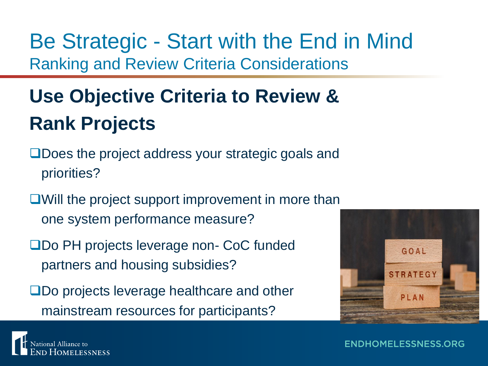Be Strategic - Start with the End in Mind Ranking and Review Criteria Considerations

## **Use Objective Criteria to Review & Rank Projects**

- ❑Does the project address your strategic goals and priorities?
- ❑Will the project support improvement in more than one system performance measure?
- ❑Do PH projects leverage non- CoC funded partners and housing subsidies?
- ❑Do projects leverage healthcare and other mainstream resources for participants?



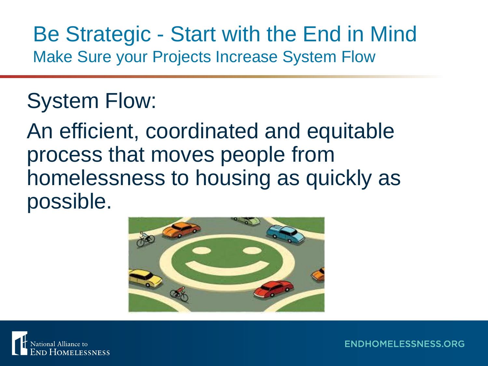#### Be Strategic - Start with the End in Mind Make Sure your Projects Increase System Flow

### System Flow:

An efficient, coordinated and equitable process that moves people from homelessness to housing as quickly as possible.



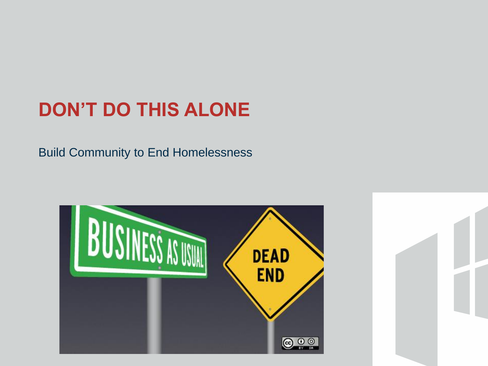### **DON'T DO THIS ALONE**

Build Community to End Homelessness



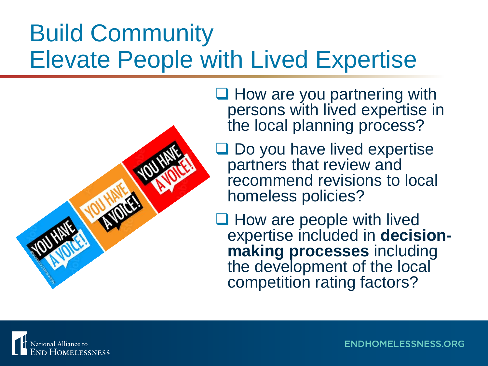## Build Community Elevate People with Lived Expertise



□ How are you partnering with persons with lived expertise in the local planning process?

■ Do you have lived expertise partners that review and recommend revisions to local homeless policies?

❑ How are people with lived expertise included in **decisionmaking processes** including the development of the local competition rating factors?

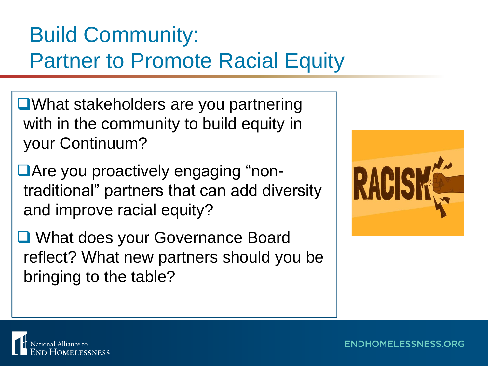## Build Community: Partner to Promote Racial Equity

- ❑What stakeholders are you partnering with in the community to build equity in your Continuum?
- ■Are you proactively engaging "nontraditional" partners that can add diversity and improve racial equity?
- ❑ What does your Governance Board reflect? What new partners should you be bringing to the table?



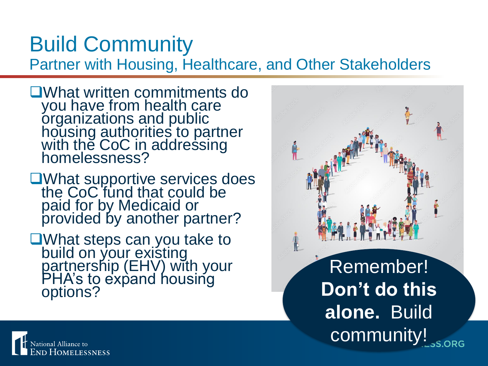## Build Community

Partner with Housing, Healthcare, and Other Stakeholders

- ❑What written commitments do you have from health care organizations and public housing authorities to partner with the CoC in addressing homelessness?
- ❑What supportive services does the CoC fund that could be paid for by Medicaid or provided by another partner?
- ❑What steps can you take to build on you<u>r existing</u> partnership (EHV) with your PHA's to expand housing options?



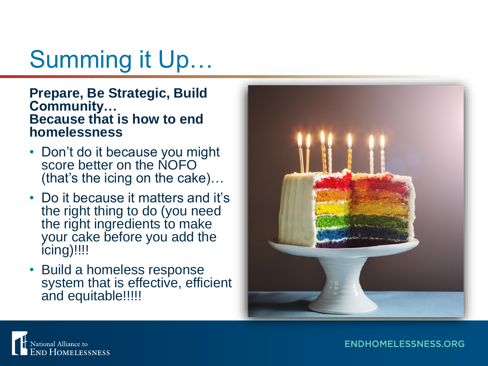# Summing it Up…

#### **Prepare, Be Strategic, Build Community… Because that is how to end homelessness**

- Don't do it because you might score better on the NOFO (that's the icing on the cake)…
- Do it because it matters and it's the right thing to do (you need the right ingredients to make your cake before you add the icing)!!!!
- Build a homeless response system that is effective, efficient and equitable!!!!!